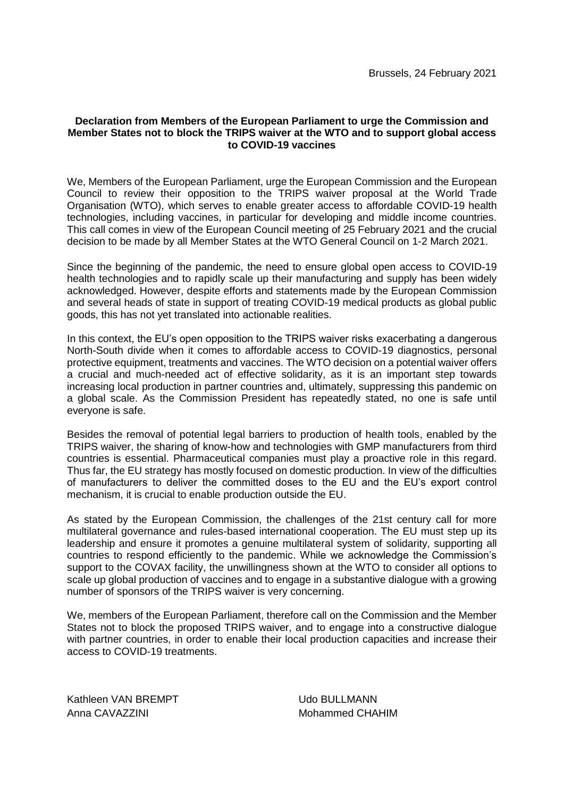## **Declaration from Members of the European Parliament to urge the Commission and Member States not to block the TRIPS waiver at the WTO and to support global access to COVID-19 vaccines**

We, Members of the European Parliament, urge the European Commission and the European Council to review their opposition to the TRIPS waiver proposal at the World Trade Organisation (WTO), which serves to enable greater access to affordable COVID-19 health technologies, including vaccines, in particular for developing and middle income countries. This call comes in view of the European Council meeting of 25 February 2021 and the crucial decision to be made by all Member States at the WTO General Council on 1-2 March 2021.

Since the beginning of the pandemic, the need to ensure global open access to COVID-19 health technologies and to rapidly scale up their manufacturing and supply has been widely acknowledged. However, despite efforts and statements made by the European Commission and several heads of state in support of treating COVID-19 medical products as global public goods, this has not yet translated into actionable realities.

In this context, the EU's open opposition to the TRIPS waiver risks exacerbating a dangerous North-South divide when it comes to affordable access to COVID-19 diagnostics, personal protective equipment, treatments and vaccines. The WTO decision on a potential waiver offers a crucial and much-needed act of effective solidarity, as it is an important step towards increasing local production in partner countries and, ultimately, suppressing this pandemic on a global scale. As the Commission President has repeatedly stated, no one is safe until everyone is safe.

Besides the removal of potential legal barriers to production of health tools, enabled by the TRIPS waiver, the sharing of know-how and technologies with GMP manufacturers from third countries is essential. Pharmaceutical companies must play a proactive role in this regard. Thus far, the EU strategy has mostly focused on domestic production. In view of the difficulties of manufacturers to deliver the committed doses to the EU and the EU's export control mechanism, it is crucial to enable production outside the EU.

As stated by the European Commission, the challenges of the 21st century call for more multilateral governance and rules-based international cooperation. The EU must step up its leadership and ensure it promotes a genuine multilateral system of solidarity, supporting all countries to respond efficiently to the pandemic. While we acknowledge the Commission's support to the COVAX facility, the unwillingness shown at the WTO to consider all options to scale up global production of vaccines and to engage in a substantive dialogue with a growing number of sponsors of the TRIPS waiver is very concerning.

We, members of the European Parliament, therefore call on the Commission and the Member States not to block the proposed TRIPS waiver, and to engage into a constructive dialogue with partner countries, in order to enable their local production capacities and increase their access to COVID-19 treatments.

Kathleen VAN BREMPT Anna CAVAZZINI

Udo BULLMANN Mohammed CHAHIM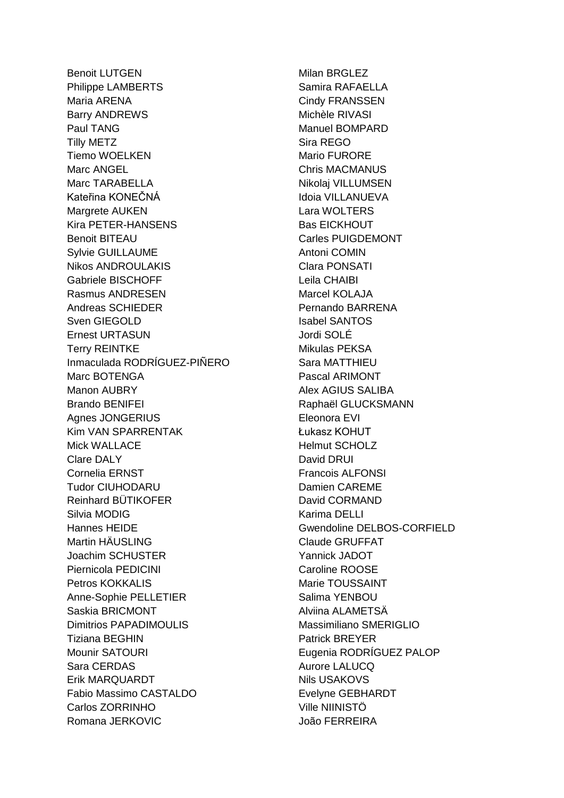Benoit LUTGEN Philippe LAMBERTS Maria ARENA Barry ANDREWS Paul TANG Tilly METZ Tiemo WOELKEN Marc ANGEL Marc TARABELLA Kateřina KONEČNÁ Margrete AUKEN Kira PETER-HANSENS Benoit BITEAU Sylvie GUILLAUME Nikos ANDROULAKIS Gabriele BISCHOFF Rasmus ANDRESEN Andreas SCHIEDER Sven GIEGOLD Ernest URTASUN Terry REINTKE Inmaculada RODRÍGUEZ-PIÑERO Marc BOTENGA Manon AUBRY Brando BENIFEI Agnes JONGERIUS Kim VAN SPARRENTAK Mick WALLACE Clare DALY Cornelia ERNST Tudor CIUHODARU Reinhard BÜTIKOFER Silvia MODIG Hannes HEIDE Martin HÄUSLING Joachim SCHUSTER Piernicola PEDICINI Petros KOKKALIS Anne-Sophie PELLETIER Saskia BRICMONT Dimitrios PAPADIMOULIS Tiziana BEGHIN Mounir SATOURI Sara CERDAS Erik MARQUARDT Fabio Massimo CASTALDO Carlos ZORRINHO Romana JERKOVIC

Milan BRGLEZ Samira RAFAELLA Cindy FRANSSEN Michèle RIVASI Manuel BOMPARD Sira REGO Mario FURORE Chris MACMANUS Nikolaj VILLUMSEN Idoia VILLANUEVA Lara WOLTERS Bas EICKHOUT Carles PUIGDEMONT Antoni COMIN Clara PONSATI Leila CHAIBI Marcel KOLAJA Pernando BARRENA Isabel SANTOS Jordi SOLÉ Mikulas PEKSA Sara MATTHIEU Pascal ARIMONT Alex AGIUS SALIBA Raphaël GLUCKSMANN Eleonora EVI Łukasz KOHUT Helmut SCHOLZ David DRUI Francois ALFONSI Damien CAREME David CORMAND Karima DELLI Gwendoline DELBOS-CORFIELD Claude GRUFFAT Yannick JADOT Caroline ROOSE Marie TOUSSAINT Salima YENBOU Alviina ALAMETSÄ Massimiliano SMERIGLIO Patrick BREYER Eugenia RODRÍGUEZ PALOP Aurore LALUCQ Nils USAKOVS Evelyne GEBHARDT Ville NIINISTÖ João FERREIRA